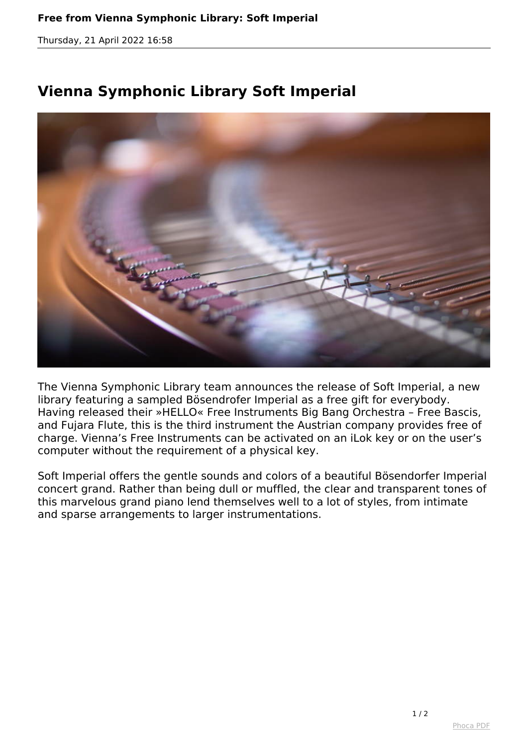## **Free from Vienna Symphonic Library: Soft Imperial**

*Thursday, 21 April 2022 16:58*

## **Vienna Symphonic Library Soft Imperial**



*The Vienna Symphonic Library team announces the release of Soft Imperial, a new library featuring a sampled Bösendrofer Imperial as a free gift for everybody. Having released their »HELLO« Free Instruments Big Bang Orchestra – Free Bascis, and Fujara Flute, this is the third instrument the Austrian company provides free of charge. Vienna's Free Instruments can be activated on an iLok key or on the user's computer without the requirement of a physical key.*

*Soft Imperial offers the gentle sounds and colors of a beautiful Bösendorfer Imperial concert grand. Rather than being dull or muffled, the clear and transparent tones of this marvelous grand piano lend themselves well to a lot of styles, from intimate and sparse arrangements to larger instrumentations.*